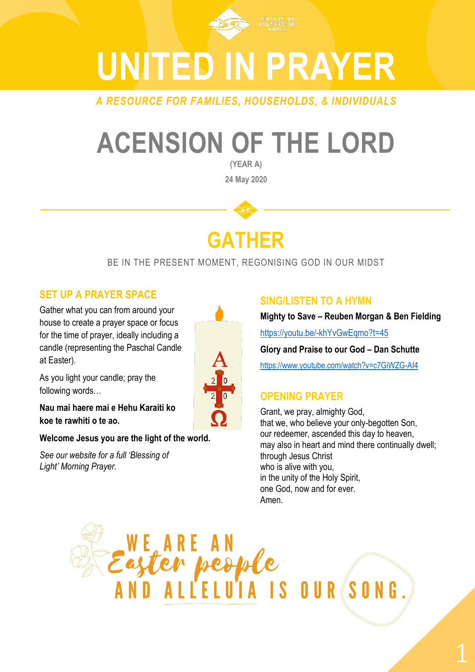

# **UNITED IN PRAYER**

*A RESOURCE FOR FAMILIES, HOUSEHOLDS, & INDIVIDUALS*

# **ACENSION OF THE LORD**

**(YEAR A) 24 May 2020**



BE IN THE PRESENT MOMENT, REGONISING GOD IN OUR MIDST

# **SET UP A PRAYER SPACE**

Gather what you can from around your house to create a prayer space or focus for the time of prayer, ideally including a candle (representing the Paschal Candle at Easter).

As you light your candle; pray the following words…

**Nau mai haere mai e Hehu Karaiti ko koe te rawhiti o te ao.** 

**Welcome Jesus you are the light of the world.**

*See our website for a full 'Blessing of Light' Morning Prayer.*



# **SING/LISTEN TO A HYMN**

**Mighty to Save – Reuben Morgan & Ben Fielding** <https://youtu.be/-khYvGwEqmo?t=45>

**Glory and Praise to our God – Dan Schutte** 

<https://www.youtube.com/watch?v=c7GiWZG-AI4>

# **OPENING PRAYER**

Grant, we pray, almighty God, that we, who believe your only-begotten Son, our redeemer, ascended this day to heaven, may also in heart and mind there continually dwell; through Jesus Christ who is alive with you, in the unity of the Holy Spirit, one God, now and for ever. Amen.

: ARE AN<br>*ter people* D ALLELUIA IS  $\Omega$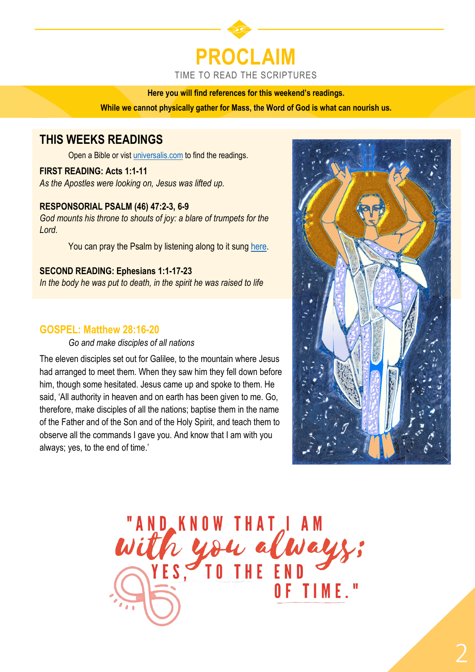

#### **Here you will find references for this weekend's readings.**

**While we cannot physically gather for Mass, the Word of God is what can nourish us.** 

# **THIS WEEKS READINGS**

Open a Bible or vist [universalis.com](https://universalis.com/mass.htm) to find the readings.

#### **FIRST READING: Acts 1:1-11**

*As the Apostles were looking on, Jesus was lifted up.*

#### **RESPONSORIAL PSALM (46) 47:2-3, 6-9**

*God mounts his throne to shouts of joy: a blare of trumpets for the Lord.*

You can pray the Psalm by listening along to it sung [here.](https://www.youtube.com/watch?v=U2kSveukQkk)

#### **SECOND READING: Ephesians 1:1-17-23**

*In the body he was put to death, in the spirit he was raised to life*

#### **GOSPEL: Matthew 28:16-20**

#### *Go and make disciples of all nations*

The eleven disciples set out for Galilee, to the mountain where Jesus had arranged to meet them. When they saw him they fell down before him, though some hesitated. Jesus came up and spoke to them. He said, 'All authority in heaven and on earth has been given to me. Go, therefore, make disciples of all the nations; baptise them in the name of the Father and of the Son and of the Holy Spirit, and teach them to observe all the commands I gave you. And know that I am with you always; yes, to the end of time.'



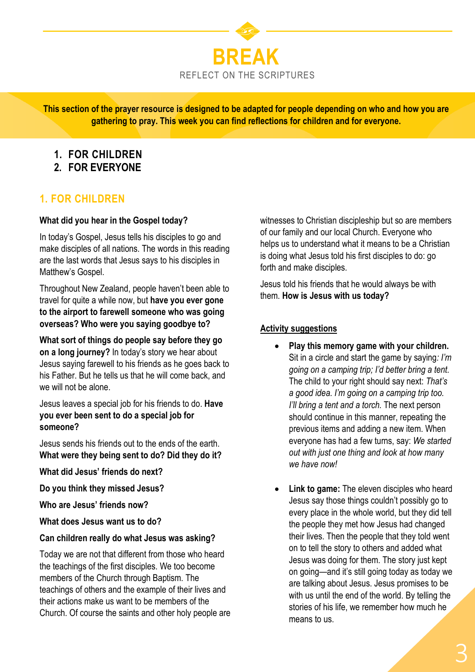

**This section of the prayer resource is designed to be adapted for people depending on who and how you are gathering to pray. This week you can find reflections for children and for everyone.**

# **1. FOR CHILDREN**

**2. FOR EVERYONE**

# **1. FOR CHILDREN**

#### **What did you hear in the Gospel today?**

In today's Gospel, Jesus tells his disciples to go and make disciples of all nations. The words in this reading are the last words that Jesus says to his disciples in Matthew's Gospel.

Throughout New Zealand, people haven't been able to travel for quite a while now, but **have you ever gone to the airport to farewell someone who was going overseas? Who were you saying goodbye to?**

**What sort of things do people say before they go on a long journey?** In today's story we hear about Jesus saying farewell to his friends as he goes back to his Father. But he tells us that he will come back, and we will not be alone.

Jesus leaves a special job for his friends to do. **Have you ever been sent to do a special job for someone?**

Jesus sends his friends out to the ends of the earth. **What were they being sent to do? Did they do it?**

- **What did Jesus' friends do next?**
- **Do you think they missed Jesus?**
- **Who are Jesus' friends now?**
- **What does Jesus want us to do?**

#### **Can children really do what Jesus was asking?**

Today we are not that different from those who heard the teachings of the first disciples. We too become members of the Church through Baptism. The teachings of others and the example of their lives and their actions make us want to be members of the Church. Of course the saints and other holy people are witnesses to Christian discipleship but so are members of our family and our local Church. Everyone who helps us to understand what it means to be a Christian is doing what Jesus told his first disciples to do: go forth and make disciples.

Jesus told his friends that he would always be with them. **How is Jesus with us today?**

#### **Activity suggestions**

- **Play this memory game with your children.** Sit in a circle and start the game by saying*: I'm going on a camping trip; I'd better bring a tent.* The child to your right should say next: *That's a good idea. I'm going on a camping trip too. I'll bring a tent and a torch.* The next person should continue in this manner, repeating the previous items and adding a new item. When everyone has had a few turns, say: *We started out with just one thing and look at how many we have now!*
- **Link to game:** The eleven disciples who heard Jesus say those things couldn't possibly go to every place in the whole world, but they did tell the people they met how Jesus had changed their lives. Then the people that they told went on to tell the story to others and added what Jesus was doing for them. The story just kept on going—and it's still going today as today we are talking about Jesus. Jesus promises to be with us until the end of the world. By telling the stories of his life, we remember how much he means to us.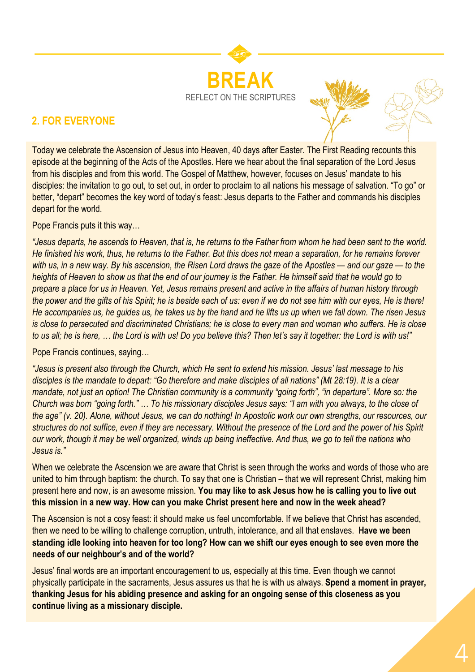



Today we celebrate the Ascension of Jesus into Heaven, 40 days after Easter. The First Reading recounts this episode at the beginning of the Acts of the Apostles. Here we hear about the final separation of the Lord Jesus from his disciples and from this world. The Gospel of Matthew, however, focuses on Jesus' mandate to his disciples: the invitation to go out, to set out, in order to proclaim to all nations his message of salvation. "To go" or better, "depart" becomes the key word of today's feast: Jesus departs to the Father and commands his disciples depart for the world.

Pope Francis puts it this way…

*"Jesus departs, he ascends to Heaven, that is, he returns to the Father from whom he had been sent to the world. He finished his work, thus, he returns to the Father. But this does not mean a separation, for he remains forever with us, in a new way. By his ascension, the Risen Lord draws the gaze of the Apostles — and our gaze — to the heights of Heaven to show us that the end of our journey is the Father. He himself said that he would go to prepare a place for us in Heaven. Yet, Jesus remains present and active in the affairs of human history through the power and the gifts of his Spirit; he is beside each of us: even if we do not see him with our eyes, He is there! He accompanies us, he guides us, he takes us by the hand and he lifts us up when we fall down. The risen Jesus is close to persecuted and discriminated Christians; he is close to every man and woman who suffers. He is close to us all; he is here, … the Lord is with us! Do you believe this? Then let's say it together: the Lord is with us!"*

Pope Francis continues, saying…

*"Jesus is present also through the Church, which He sent to extend his mission. Jesus' last message to his disciples is the mandate to depart: "Go therefore and make disciples of all nations" (Mt 28:19). It is a clear mandate, not just an option! The Christian community is a community "going forth", "in departure". More so: the Church was born "going forth." … To his missionary disciples Jesus says: "I am with you always, to the close of the age" (v. 20). Alone, without Jesus, we can do nothing! In Apostolic work our own strengths, our resources, our structures do not suffice, even if they are necessary. Without the presence of the Lord and the power of his Spirit our work, though it may be well organized, winds up being ineffective. And thus, we go to tell the nations who Jesus is."*

When we celebrate the Ascension we are aware that Christ is seen through the works and words of those who are united to him through baptism: the church. To say that one is Christian – that we will represent Christ, making him present here and now, is an awesome mission. **You may like to ask Jesus how he is calling you to live out this mission in a new way. How can you make Christ present here and now in the week ahead?**

The Ascension is not a cosy feast: it should make us feel uncomfortable. If we believe that Christ has ascended, then we need to be willing to challenge corruption, untruth, intolerance, and all that enslaves. **Have we been standing idle looking into heaven for too long? How can we shift our eyes enough to see even more the needs of our neighbour's and of the world?**

Jesus' final words are an important encouragement to us, especially at this time. Even though we cannot physically participate in the sacraments, Jesus assures us that he is with us always. **Spend a moment in prayer, thanking Jesus for his abiding presence and asking for an ongoing sense of this closeness as you continue living as a missionary disciple.**